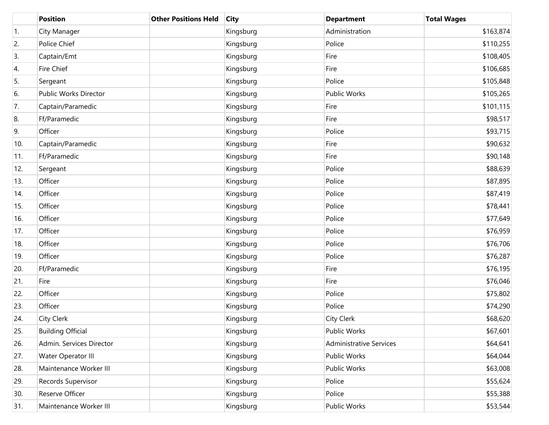|     | <b>Position</b>              | <b>Other Positions Held</b> | <b>City</b> | <b>Department</b>              | <b>Total Wages</b> |
|-----|------------------------------|-----------------------------|-------------|--------------------------------|--------------------|
| 1.  | City Manager                 |                             | Kingsburg   | Administration                 | \$163,874          |
| 2.  | Police Chief                 |                             | Kingsburg   | Police                         | \$110,255          |
| 3.  | Captain/Emt                  |                             | Kingsburg   | Fire                           | \$108,405          |
| 4.  | Fire Chief                   |                             | Kingsburg   | Fire                           | \$106,685          |
| 5.  | Sergeant                     |                             | Kingsburg   | Police                         | \$105,848          |
| 6.  | <b>Public Works Director</b> |                             | Kingsburg   | <b>Public Works</b>            | \$105,265          |
| 7.  | Captain/Paramedic            |                             | Kingsburg   | Fire                           | \$101,115          |
| 8.  | Ff/Paramedic                 |                             | Kingsburg   | Fire                           | \$98,517           |
| 9.  | Officer                      |                             | Kingsburg   | Police                         | \$93,715           |
| 10. | Captain/Paramedic            |                             | Kingsburg   | Fire                           | \$90,632           |
| 11. | Ff/Paramedic                 |                             | Kingsburg   | Fire                           | \$90,148           |
| 12. | Sergeant                     |                             | Kingsburg   | Police                         | \$88,639           |
| 13. | Officer                      |                             | Kingsburg   | Police                         | \$87,895           |
| 14. | Officer                      |                             | Kingsburg   | Police                         | \$87,419           |
| 15. | Officer                      |                             | Kingsburg   | Police                         | \$78,441           |
| 16. | Officer                      |                             | Kingsburg   | Police                         | \$77,649           |
| 17. | Officer                      |                             | Kingsburg   | Police                         | \$76,959           |
| 18. | Officer                      |                             | Kingsburg   | Police                         | \$76,706           |
| 19. | Officer                      |                             | Kingsburg   | Police                         | \$76,287           |
| 20. | Ff/Paramedic                 |                             | Kingsburg   | Fire                           | \$76,195           |
| 21. | Fire                         |                             | Kingsburg   | Fire                           | \$76,046           |
| 22. | Officer                      |                             | Kingsburg   | Police                         | \$75,802           |
| 23. | Officer                      |                             | Kingsburg   | Police                         | \$74,290           |
| 24. | City Clerk                   |                             | Kingsburg   | <b>City Clerk</b>              | \$68,620           |
| 25. | <b>Building Official</b>     |                             | Kingsburg   | Public Works                   | \$67,601           |
| 26. | Admin. Services Director     |                             | Kingsburg   | <b>Administrative Services</b> | \$64,641           |
| 27. | Water Operator III           |                             | Kingsburg   | Public Works                   | \$64,044           |
| 28. | Maintenance Worker III       |                             | Kingsburg   | Public Works                   | \$63,008           |
| 29. | Records Supervisor           |                             | Kingsburg   | Police                         | \$55,624           |
| 30. | Reserve Officer              |                             | Kingsburg   | Police                         | \$55,388           |
| 31. | Maintenance Worker III       |                             | Kingsburg   | Public Works                   | \$53,544           |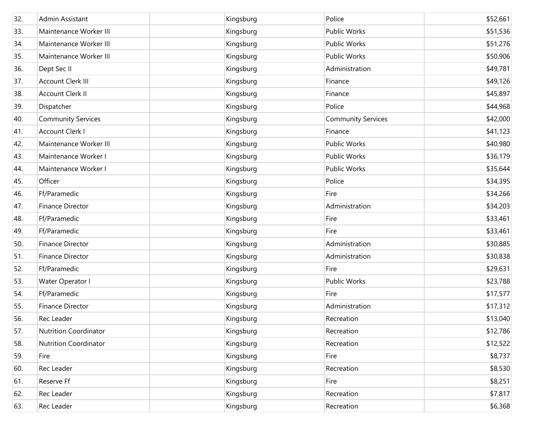| 32. | Admin Assistant              | Kingsburg | Police                    | \$52,661 |
|-----|------------------------------|-----------|---------------------------|----------|
| 33. | Maintenance Worker III       | Kingsburg | Public Works              | \$51,536 |
| 34. | Maintenance Worker III       | Kingsburg | Public Works              | \$51,276 |
| 35. | Maintenance Worker III       | Kingsburg | Public Works              | \$50,906 |
| 36. | Dept Sec II                  | Kingsburg | Administration            | \$49,781 |
| 37. | <b>Account Clerk III</b>     | Kingsburg | Finance                   | \$49,126 |
| 38. | Account Clerk II             | Kingsburg | Finance                   | \$45,897 |
| 39. | Dispatcher                   | Kingsburg | Police                    | \$44,968 |
| 40. | <b>Community Services</b>    | Kingsburg | <b>Community Services</b> | \$42,000 |
| 41. | <b>Account Clerk I</b>       | Kingsburg | Finance                   | \$41,123 |
| 42. | Maintenance Worker III       | Kingsburg | Public Works              | \$40,980 |
| 43. | Maintenance Worker I         | Kingsburg | Public Works              | \$36,179 |
| 44. | Maintenance Worker I         | Kingsburg | Public Works              | \$35,644 |
| 45. | Officer                      | Kingsburg | Police                    | \$34,395 |
| 46. | Ff/Paramedic                 | Kingsburg | Fire                      | \$34,266 |
| 47. | <b>Finance Director</b>      | Kingsburg | Administration            | \$34,203 |
| 48. | Ff/Paramedic                 | Kingsburg | Fire                      | \$33,461 |
| 49. | Ff/Paramedic                 | Kingsburg | Fire                      | \$33,461 |
| 50. | <b>Finance Director</b>      | Kingsburg | Administration            | \$30,885 |
| 51. | Finance Director             | Kingsburg | Administration            | \$30,838 |
| 52. | Ff/Paramedic                 | Kingsburg | Fire                      | \$29,631 |
| 53. | Water Operator I             | Kingsburg | <b>Public Works</b>       | \$23,788 |
| 54. | Ff/Paramedic                 | Kingsburg | Fire                      | \$17,577 |
| 55. | Finance Director             | Kingsburg | Administration            | \$17,312 |
| 56. | Rec Leader                   | Kingsburg | Recreation                | \$13,040 |
| 57. | <b>Nutrition Coordinator</b> | Kingsburg | Recreation                | \$12,786 |
| 58. | <b>Nutrition Coordinator</b> | Kingsburg | Recreation                | \$12,522 |
| 59. | Fire                         | Kingsburg | Fire                      | \$8,737  |
| 60. | Rec Leader                   | Kingsburg | Recreation                | \$8,530  |
| 61. | Reserve Ff                   | Kingsburg | Fire                      | \$8,251  |
| 62. | Rec Leader                   | Kingsburg | Recreation                | \$7,817  |
| 63. | Rec Leader                   | Kingsburg | Recreation                | \$6,368  |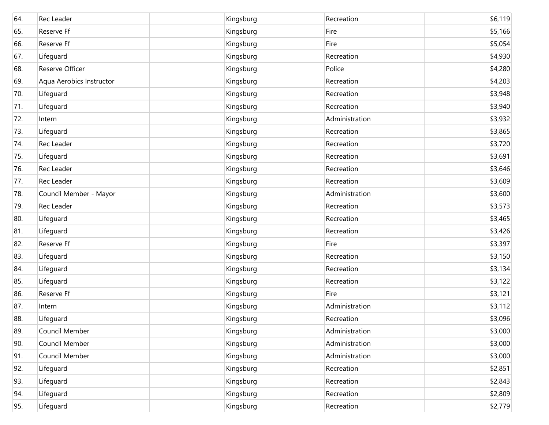| 64. | Rec Leader               | Kingsburg | Recreation     | \$6,119 |
|-----|--------------------------|-----------|----------------|---------|
| 65. | Reserve Ff               | Kingsburg | Fire           | \$5,166 |
| 66. | Reserve Ff               | Kingsburg | Fire           | \$5,054 |
| 67. | Lifeguard                | Kingsburg | Recreation     | \$4,930 |
| 68. | Reserve Officer          | Kingsburg | Police         | \$4,280 |
| 69. | Aqua Aerobics Instructor | Kingsburg | Recreation     | \$4,203 |
| 70. | Lifeguard                | Kingsburg | Recreation     | \$3,948 |
| 71. | Lifeguard                | Kingsburg | Recreation     | \$3,940 |
| 72. | Intern                   | Kingsburg | Administration | \$3,932 |
| 73. | Lifeguard                | Kingsburg | Recreation     | \$3,865 |
| 74. | Rec Leader               | Kingsburg | Recreation     | \$3,720 |
| 75. | Lifeguard                | Kingsburg | Recreation     | \$3,691 |
| 76. | Rec Leader               | Kingsburg | Recreation     | \$3,646 |
| 77. | Rec Leader               | Kingsburg | Recreation     | \$3,609 |
| 78. | Council Member - Mayor   | Kingsburg | Administration | \$3,600 |
| 79. | Rec Leader               | Kingsburg | Recreation     | \$3,573 |
| 80. | Lifeguard                | Kingsburg | Recreation     | \$3,465 |
| 81. | Lifeguard                | Kingsburg | Recreation     | \$3,426 |
| 82. | Reserve Ff               | Kingsburg | Fire           | \$3,397 |
| 83. | Lifeguard                | Kingsburg | Recreation     | \$3,150 |
| 84. | Lifeguard                | Kingsburg | Recreation     | \$3,134 |
| 85. | Lifeguard                | Kingsburg | Recreation     | \$3,122 |
| 86. | Reserve Ff               | Kingsburg | Fire           | \$3,121 |
| 87. | Intern                   | Kingsburg | Administration | \$3,112 |
| 88. | Lifeguard                | Kingsburg | Recreation     | \$3,096 |
| 89. | Council Member           | Kingsburg | Administration | \$3,000 |
| 90. | Council Member           | Kingsburg | Administration | \$3,000 |
| 91. | Council Member           | Kingsburg | Administration | \$3,000 |
| 92. | Lifeguard                | Kingsburg | Recreation     | \$2,851 |
| 93. | Lifeguard                | Kingsburg | Recreation     | \$2,843 |
| 94. | Lifeguard                | Kingsburg | Recreation     | \$2,809 |
| 95. | Lifeguard                | Kingsburg | Recreation     | \$2,779 |